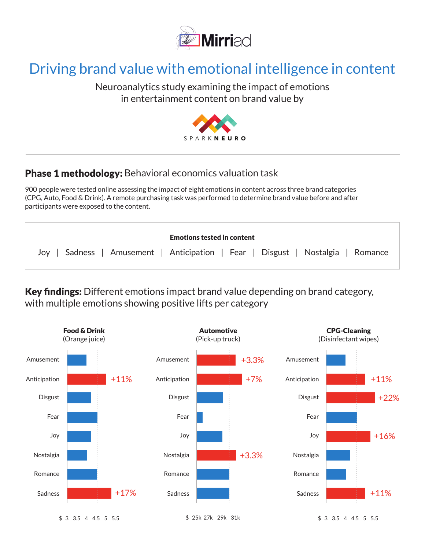

## Driving brand value with emotional intelligence in content

## Neuroanalytics study examining the impact of emotions in entertainment content on brand value by



## Phase 1 methodology: Behavioral economics valuation task

900 people were tested online assessing the impact of eight emotions in content across three brand categories (CPG, Auto, Food & Drink). A remote purchasing task was performed to determine brand value before and after participants were exposed to the content.

| <b>Emotions tested in content</b>                                               |
|---------------------------------------------------------------------------------|
| Joy   Sadness   Amusement   Anticipation   Fear   Disgust   Nostalgia   Romance |

Key findings: Different emotions impact brand value depending on brand category, with multiple emotions showing positive lifts per category